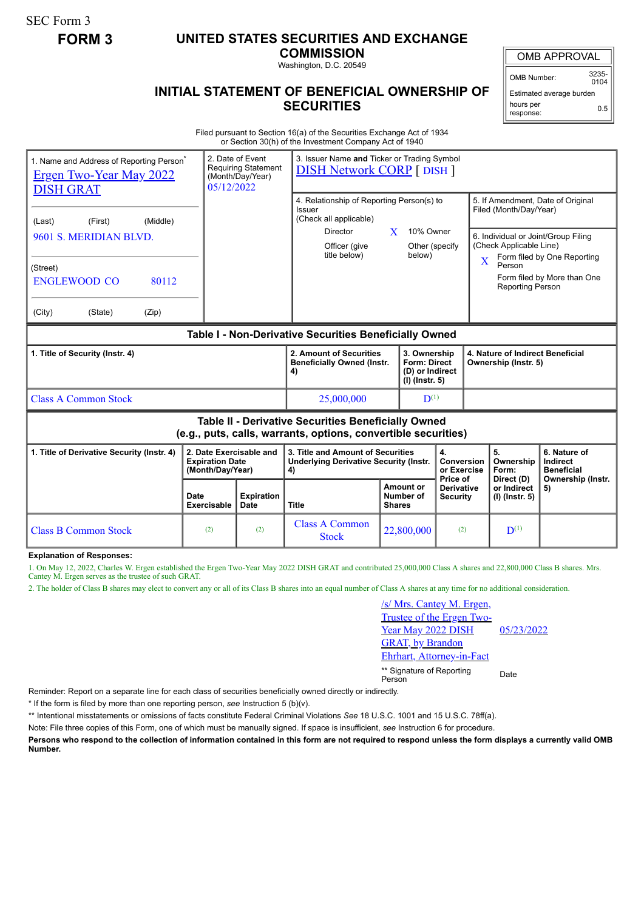SEC Form 3

## **FORM 3 UNITED STATES SECURITIES AND EXCHANGE**

**COMMISSION**

Washington, D.C. 20549

## **INITIAL STATEMENT OF BENEFICIAL OWNERSHIP OF SECURITIES**

OMB APPROVAL

OMB Number: 3235-  $0104$ 

Estimated average burden hours per response: 0.5

Filed pursuant to Section 16(a) of the Securities Exchange Act of 1934 or Section 30(h) of the Investment Company Act of 1940

| 2. Date of Event<br>1. Name and Address of Reporting Person <sup>®</sup><br><b>Requiring Statement</b><br><b>Ergen Two-Year May 2022</b><br>(Month/Day/Year)<br>05/12/2022<br><b>DISH GRAT</b> |                                                                       |                           | 3. Issuer Name and Ticker or Trading Symbol<br><b>DISH Network CORP</b> [ DISH ]          |                    |                                                                            |                                      |                                        |                                                                    |                                                                    |  |
|------------------------------------------------------------------------------------------------------------------------------------------------------------------------------------------------|-----------------------------------------------------------------------|---------------------------|-------------------------------------------------------------------------------------------|--------------------|----------------------------------------------------------------------------|--------------------------------------|----------------------------------------|--------------------------------------------------------------------|--------------------------------------------------------------------|--|
| (Middle)<br>(Last)<br>(First)                                                                                                                                                                  |                                                                       |                           | 4. Relationship of Reporting Person(s) to<br>Issuer<br>(Check all applicable)<br>Director | 10% Owner<br>X     |                                                                            |                                      |                                        | 5. If Amendment, Date of Original<br>Filed (Month/Day/Year)        |                                                                    |  |
| 9601 S. MERIDIAN BLVD.                                                                                                                                                                         |                                                                       |                           | Officer (give<br>title below)                                                             |                    | Other (specify<br>below)                                                   |                                      | $\overline{\text{X}}$                  | (Check Applicable Line)<br>Person                                  | 6. Individual or Joint/Group Filing<br>Form filed by One Reporting |  |
| (Street)<br><b>ENGLEWOOD CO</b><br>80112                                                                                                                                                       |                                                                       |                           |                                                                                           |                    |                                                                            |                                      |                                        | <b>Reporting Person</b>                                            | Form filed by More than One                                        |  |
| (City)<br>(State)<br>(Zip)                                                                                                                                                                     |                                                                       |                           |                                                                                           |                    |                                                                            |                                      |                                        |                                                                    |                                                                    |  |
| Table I - Non-Derivative Securities Beneficially Owned                                                                                                                                         |                                                                       |                           |                                                                                           |                    |                                                                            |                                      |                                        |                                                                    |                                                                    |  |
| 1. Title of Security (Instr. 4)                                                                                                                                                                |                                                                       |                           | 2. Amount of Securities<br><b>Beneficially Owned (Instr.</b><br>4)                        |                    | 3. Ownership<br><b>Form: Direct</b><br>(D) or Indirect<br>$(I)$ (lnstr. 5) |                                      |                                        | 4. Nature of Indirect Beneficial<br>Ownership (Instr. 5)           |                                                                    |  |
| <b>Class A Common Stock</b>                                                                                                                                                                    |                                                                       |                           | 25,000,000                                                                                | $\mathbf{D}^{(1)}$ |                                                                            |                                      |                                        |                                                                    |                                                                    |  |
| Table II - Derivative Securities Beneficially Owned<br>(e.g., puts, calls, warrants, options, convertible securities)                                                                          |                                                                       |                           |                                                                                           |                    |                                                                            |                                      |                                        |                                                                    |                                                                    |  |
| 1. Title of Derivative Security (Instr. 4)                                                                                                                                                     | 2. Date Exercisable and<br><b>Expiration Date</b><br>(Month/Day/Year) |                           | 3. Title and Amount of Securities<br><b>Underlying Derivative Security (Instr.</b><br>4)  |                    | 4.<br>Conversion<br>or Exercise<br>Price of                                |                                      | 5.<br>Ownership<br>Form:<br>Direct (D) | 6. Nature of<br>Indirect<br><b>Beneficial</b><br>Ownership (Instr. |                                                                    |  |
|                                                                                                                                                                                                | <b>Date</b><br><b>Exercisable</b>                                     | <b>Expiration</b><br>Date | <b>Title</b><br><b>Shares</b>                                                             |                    | <b>Amount or</b><br>Number of                                              | <b>Derivative</b><br><b>Security</b> |                                        | or Indirect<br>$(I)$ (Instr. 5)                                    | 5)                                                                 |  |
| <b>Class B Common Stock</b>                                                                                                                                                                    | (2)                                                                   | (2)                       | <b>Class A Common</b><br><b>Stock</b>                                                     |                    | 22,800,000<br>(2)                                                          |                                      |                                        | $\mathbf{D}^{(1)}$                                                 |                                                                    |  |

**Explanation of Responses:**

1. On May 12, 2022, Charles W. Ergen established the Ergen Two-Year May 2022 DISH GRAT and contributed 25,000,000 Class A shares and 22,800,000 Class B shares. Mrs. Cantey M. Ergen serves as the trustee of such GRAT.

2. The holder of Class B shares may elect to convert any or all of its Class B shares into an equal number of Class A shares at any time for no additional consideration.

| /s/ Mrs. Cantey M. Ergen,          |            |
|------------------------------------|------------|
| Trustee of the Ergen Two-          |            |
| Year May 2022 DISH                 | 05/23/2022 |
| <b>GRAT, by Brandon</b>            |            |
| Ehrhart, Attorney-in-Fact          |            |
| ** Signature of Reporting<br>erson | Date       |

Reminder: Report on a separate line for each class of securities beneficially owned directly or indirectly.

\* If the form is filed by more than one reporting person, *see* Instruction 5 (b)(v).

\*\* Intentional misstatements or omissions of facts constitute Federal Criminal Violations *See* 18 U.S.C. 1001 and 15 U.S.C. 78ff(a).

Note: File three copies of this Form, one of which must be manually signed. If space is insufficient, *see* Instruction 6 for procedure.

**Persons who respond to the collection of information contained in this form are not required to respond unless the form displays a currently valid OMB Number.**